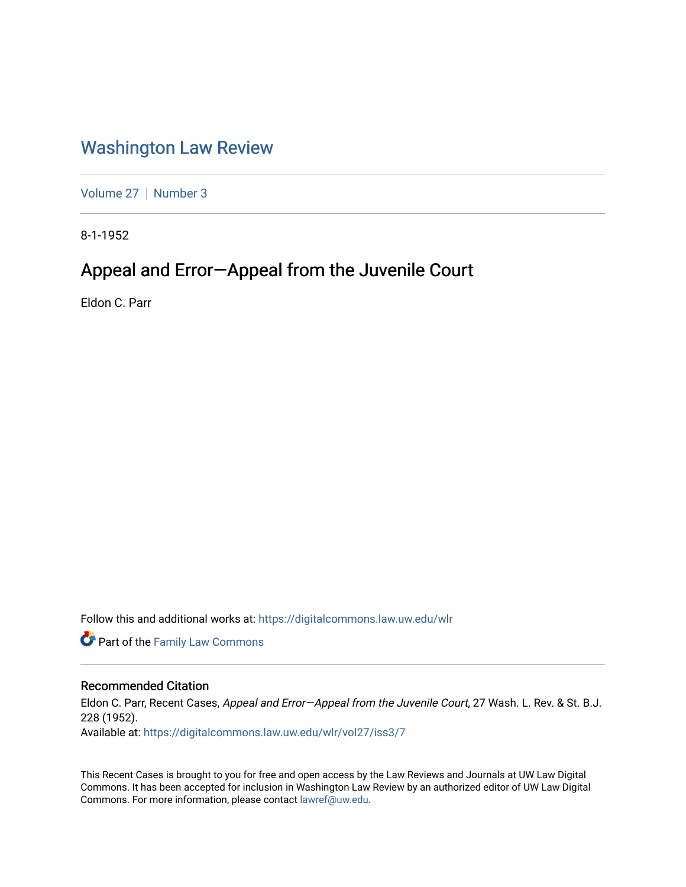## [Washington Law Review](https://digitalcommons.law.uw.edu/wlr)

[Volume 27](https://digitalcommons.law.uw.edu/wlr/vol27) | [Number 3](https://digitalcommons.law.uw.edu/wlr/vol27/iss3)

8-1-1952

## Appeal and Error—Appeal from the Juvenile Court

Eldon C. Parr

Follow this and additional works at: [https://digitalcommons.law.uw.edu/wlr](https://digitalcommons.law.uw.edu/wlr?utm_source=digitalcommons.law.uw.edu%2Fwlr%2Fvol27%2Fiss3%2F7&utm_medium=PDF&utm_campaign=PDFCoverPages)

**Part of the Family Law Commons** 

## Recommended Citation

Eldon C. Parr, Recent Cases, Appeal and Error-Appeal from the Juvenile Court, 27 Wash. L. Rev. & St. B.J. 228 (1952).

Available at: [https://digitalcommons.law.uw.edu/wlr/vol27/iss3/7](https://digitalcommons.law.uw.edu/wlr/vol27/iss3/7?utm_source=digitalcommons.law.uw.edu%2Fwlr%2Fvol27%2Fiss3%2F7&utm_medium=PDF&utm_campaign=PDFCoverPages)

This Recent Cases is brought to you for free and open access by the Law Reviews and Journals at UW Law Digital Commons. It has been accepted for inclusion in Washington Law Review by an authorized editor of UW Law Digital Commons. For more information, please contact [lawref@uw.edu](mailto:lawref@uw.edu).